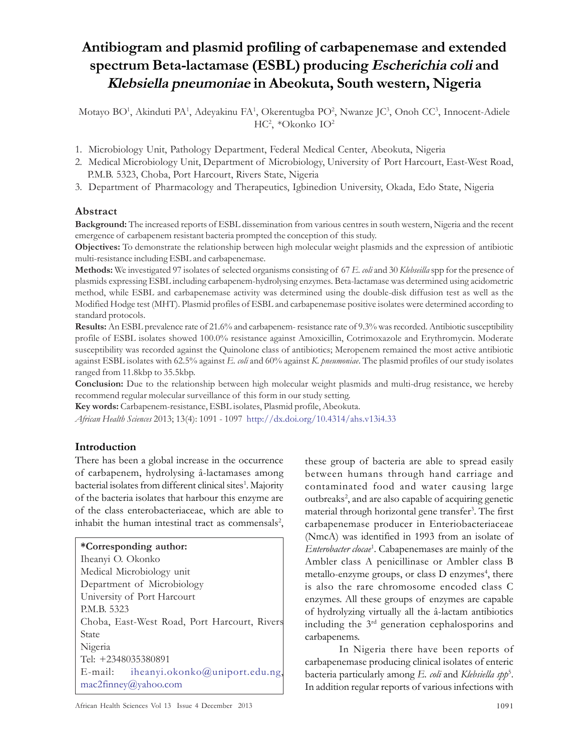# Antibiogram and plasmid profiling of carbapenemase and extended spectrum Beta-lactamase (ESBL) producing Escherichia coli and Klebsiella pneumoniae in Abeokuta, South western, Nigeria

Motayo BO<sup>1</sup> , Akinduti PA<sup>1</sup> , Adeyakinu FA<sup>1</sup> , Okerentugba PO<sup>2</sup> , Nwanze JC<sup>3</sup> , Onoh CC<sup>3</sup> , Innocent-Adiele HC<sup>2</sup> , \*Okonko IO<sup>2</sup>

- 1. Microbiology Unit, Pathology Department, Federal Medical Center, Abeokuta, Nigeria
- 2. Medical Microbiology Unit, Department of Microbiology, University of Port Harcourt, East-West Road, P.M.B. 5323, Choba, Port Harcourt, Rivers State, Nigeria
- 3. Department of Pharmacology and Therapeutics, Igbinedion University, Okada, Edo State, Nigeria

## Abstract

Background: The increased reports of ESBL dissemination from various centres in south western, Nigeria and the recent emergence of carbapenem resistant bacteria prompted the conception of this study.

Objectives: To demonstrate the relationship between high molecular weight plasmids and the expression of antibiotic multi-resistance including ESBL and carbapenemase.

**Methods:** We investigated 97 isolates of selected organisms consisting of 67 E. *coli* and 30 Klebseilla spp for the presence of plasmids expressing ESBL including carbapenem-hydrolysing enzymes. Beta-lactamase was determined using acidometric method, while ESBL and carbapenemase activity was determined using the double-disk diffusion test as well as the Modified Hodge test (MHT). Plasmid profiles of ESBL and carbapenemase positive isolates were determined according to standard protocols.

Results: An ESBL prevalence rate of 21.6% and carbapenem- resistance rate of 9.3% was recorded. Antibiotic susceptibility profile of ESBL isolates showed 100.0% resistance against Amoxicillin, Cotrimoxazole and Erythromycin. Moderate susceptibility was recorded against the Quinolone class of antibiotics; Meropenem remained the most active antibiotic against ESBL isolates with 62.5% against E. coli and 60% against K. pneumoniae. The plasmid profiles of our study isolates ranged from 11.8kbp to 35.5kbp.

Conclusion: Due to the relationship between high molecular weight plasmids and multi-drug resistance, we hereby recommend regular molecular surveillance of this form in our study setting.

Key words: Carbapenem-resistance, ESBL isolates, Plasmid profile, Abeokuta.

African Health Sciences 2013; 13(4): 1091 - 1097 http://dx.doi.org/10.4314/ahs.v13i4.33

## Introduction

There has been a global increase in the occurrence of carbapenem, hydrolysing â-lactamases among bacterial isolates from different clinical sites<sup>1</sup>. Majority of the bacteria isolates that harbour this enzyme are of the class enterobacteriaceae, which are able to inhabit the human intestinal tract as commensals<sup>2</sup>,

#### \*Corresponding author:

| Iheanyi O. Okonko                            |  |
|----------------------------------------------|--|
| Medical Microbiology unit                    |  |
| Department of Microbiology                   |  |
| University of Port Harcourt                  |  |
| P.M.B. 5323                                  |  |
| Choba, East-West Road, Port Harcourt, Rivers |  |
| <b>State</b>                                 |  |
| Nigeria                                      |  |
| Tel: +2348035380891                          |  |
| E-mail: iheanyi.okonko@uniport.edu.ng,       |  |
| $mac2f$ inney@yahoo.com                      |  |
|                                              |  |

these group of bacteria are able to spread easily between humans through hand carriage and contaminated food and water causing large outbreaks<sup>2</sup>, and are also capable of acquiring genetic material through horizontal gene transfer<sup>3</sup> . The first carbapenemase producer in Enteriobacteriaceae (NmcA) was identified in 1993 from an isolate of Enterobacter clocae<sup>1</sup>. Cabapenemases are mainly of the Ambler class A penicillinase or Ambler class B metallo-enzyme groups, or class D enzymes<sup>4</sup>, there is also the rare chromosome encoded class C enzymes. All these groups of enzymes are capable of hydrolyzing virtually all the â-lactam antibiotics including the 3rd generation cephalosporins and carbapenems.

In Nigeria there have been reports of carbapenemase producing clinical isolates of enteric bacteria particularly among E. coli and Klebsiella spp<sup>5</sup>. In addition regular reports of various infections with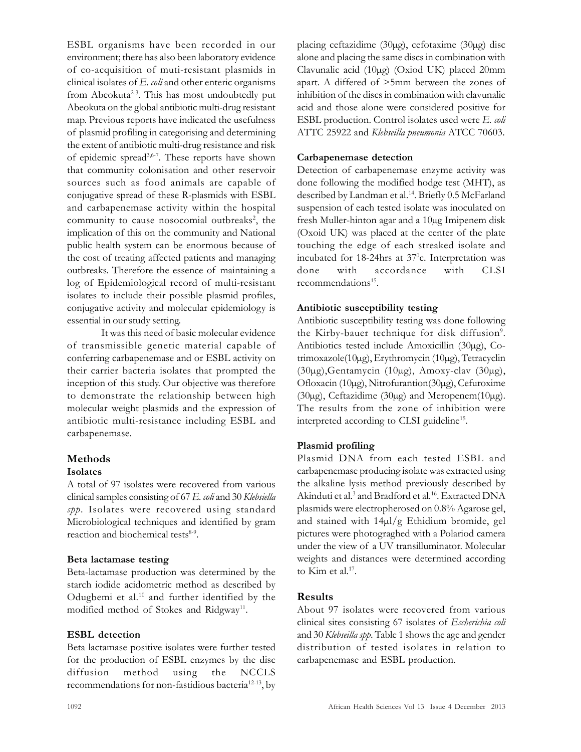ESBL organisms have been recorded in our environment; there has also been laboratory evidence of co-acquisition of muti-resistant plasmids in clinical isolates of E. coli and other enteric organisms from Abeokuta<sup>2-3</sup>. This has most undoubtedly put Abeokuta on the global antibiotic multi-drug resistant map. Previous reports have indicated the usefulness of plasmid profiling in categorising and determining the extent of antibiotic multi-drug resistance and risk of epidemic spread3,6-7. These reports have shown that community colonisation and other reservoir sources such as food animals are capable of conjugative spread of these R-plasmids with ESBL and carbapenemase activity within the hospital community to cause nosocomial outbreaks<sup>2</sup>, the implication of this on the community and National public health system can be enormous because of the cost of treating affected patients and managing outbreaks. Therefore the essence of maintaining a log of Epidemiological record of multi-resistant isolates to include their possible plasmid profiles, conjugative activity and molecular epidemiology is essential in our study setting.

It was this need of basic molecular evidence of transmissible genetic material capable of conferring carbapenemase and or ESBL activity on their carrier bacteria isolates that prompted the inception of this study. Our objective was therefore to demonstrate the relationship between high molecular weight plasmids and the expression of antibiotic multi-resistance including ESBL and carbapenemase.

## Methods

#### Isolates

A total of 97 isolates were recovered from various clinical samples consisting of 67 E. coli and 30 Klebsiella spp. Isolates were recovered using standard Microbiological techniques and identified by gram reaction and biochemical tests<sup>8-9</sup>.

#### Beta lactamase testing

Beta-lactamase production was determined by the starch iodide acidometric method as described by Odugbemi et al.<sup>10</sup> and further identified by the modified method of Stokes and Ridgway<sup>11</sup>.

## ESBL detection

Beta lactamase positive isolates were further tested for the production of ESBL enzymes by the disc diffusion method using the NCCLS recommendations for non-fastidious bacteria<sup>12-13</sup>, by placing ceftazidime (30µg), cefotaxime (30µg) disc alone and placing the same discs in combination with Clavunalic acid (10µg) (Oxiod UK) placed 20mm apart. A differed of >5mm between the zones of inhibition of the discs in combination with clavunalic acid and those alone were considered positive for ESBL production. Control isolates used were E. coli ATTC 25922 and Klebseilla pneumonia ATCC 70603.

## Carbapenemase detection

Detection of carbapenemase enzyme activity was done following the modified hodge test (MHT), as described by Landman et al.<sup>14</sup>. Briefly 0.5 McFarland suspension of each tested isolate was inoculated on fresh Muller-hinton agar and a 10µg Imipenem disk (Oxoid UK) was placed at the center of the plate touching the edge of each streaked isolate and incubated for 18-24hrs at  $37^{\circ}$ c. Interpretation was done with accordance with CLSI recommendations<sup>15</sup>.

## Antibiotic susceptibility testing

Antibiotic susceptibility testing was done following the Kirby-bauer technique for disk diffusion<sup>9</sup>. Antibiotics tested include Amoxicillin (30µg), Cotrimoxazole(10µg), Erythromycin (10µg), Tetracyclin (30µg),Gentamycin (10µg), Amoxy-clav (30µg), Ofloxacin (10µg), Nitrofurantion(30µg), Cefuroxime (30µg), Ceftazidime (30µg) and Meropenem(10µg). The results from the zone of inhibition were interpreted according to CLSI guideline<sup>15</sup>.

## Plasmid profiling

Plasmid DNA from each tested ESBL and carbapenemase producing isolate was extracted using the alkaline lysis method previously described by Akinduti et al.<sup>3</sup> and Bradford et al.<sup>16</sup>. Extracted DNA plasmids were electropherosed on 0.8% Agarose gel, and stained with 14µl/g Ethidium bromide, gel pictures were photograghed with a Polariod camera under the view of a UV transilluminator. Molecular weights and distances were determined according to Kim et al.<sup>17</sup>.

## Results

About 97 isolates were recovered from various clinical sites consisting 67 isolates of Escherichia coli and 30 Klebseilla spp. Table 1 shows the age and gender distribution of tested isolates in relation to carbapenemase and ESBL production.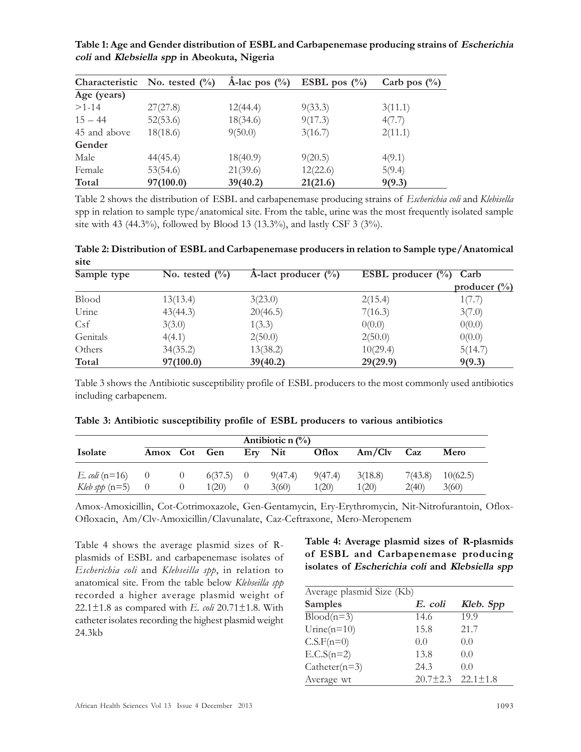Table 1: Age and Gender distribution of ESBL and Carbapenemase producing strains of Escherichia coli and Klebsiella spp in Abeokuta, Nigeria

|              | Characteristic No. tested $(\%)$ | $\hat{A}$ -lac pos $(\%$ ) | ESBL pos $(\%$ | Carb pos $\binom{0}{0}$ |
|--------------|----------------------------------|----------------------------|----------------|-------------------------|
| Age (years)  |                                  |                            |                |                         |
| $>1-14$      | 27(27.8)                         | 12(44.4)                   | 9(33.3)        | 3(11.1)                 |
| $15 - 44$    | 52(53.6)                         | 18(34.6)                   | 9(17.3)        | 4(7.7)                  |
| 45 and above | 18(18.6)                         | 9(50.0)                    | 3(16.7)        | 2(11.1)                 |
| Gender       |                                  |                            |                |                         |
| Male         | 44(45.4)                         | 18(40.9)                   | 9(20.5)        | 4(9.1)                  |
| Female       | 53(54.6)                         | 21(39.6)                   | 12(22.6)       | 5(9.4)                  |
| Total        | 97(100.0)                        | 39(40.2)                   | 21(21.6)       | 9(9.3)                  |

Table 2 shows the distribution of ESBL and carbapenemase producing strains of Escherichia coli and Klebisella spp in relation to sample type/anatomical site. From the table, urine was the most frequently isolated sample site with 43 (44.3%), followed by Blood 13 (13.3%), and lastly CSF 3 (3%).

Table 2: Distribution of ESBL and Carbapenemase producers in relation to Sample type/Anatomical site

| Sample type  | No. tested $\left(\frac{0}{0}\right)$ | A-lact producer $(\%)$ | ESBL producer $(\%)$ | Carb                    |
|--------------|---------------------------------------|------------------------|----------------------|-------------------------|
|              |                                       |                        |                      | producer $\binom{0}{0}$ |
| <b>Blood</b> | 13(13.4)                              | 3(23.0)                | 2(15.4)              | 1(7.7)                  |
| Urine        | 43(44.3)                              | 20(46.5)               | 7(16.3)              | 3(7.0)                  |
| Csf          | 3(3.0)                                | 1(3.3)                 | 0(0.0)               | 0(0.0)                  |
| Genitals     | 4(4.1)                                | 2(50.0)                | 2(50.0)              | 0(0.0)                  |
| Others       | 34(35.2)                              | 13(38.2)               | 10(29.4)             | 5(14.7)                 |
| Total        | 97(100.0)                             | 39(40.2)               | 29(29.9)             | 9(9.3)                  |

Table 3 shows the Antibiotic susceptibility profile of ESBL producers to the most commonly used antibiotics including carbapenem.

| Antibiotic n $(\%)$       |              |   |             |  |         |         |         |         |             |
|---------------------------|--------------|---|-------------|--|---------|---------|---------|---------|-------------|
| Isolate                   | Amox Cot Gen |   |             |  | Erv Nit | Oflox   | Am/Clv  | Caz     | <b>Mero</b> |
| <i>E. coli</i> ( $n=16$ ) | $\qquad 0$   | 0 | $6(37.5)$ 0 |  | 9(47.4) | 9(47.4) | 3(18.8) | 7(43.8) | 10(62.5)    |
| Kleb spp $(n=5)$          |              |   | 1(20)       |  | 3(60)   | 1(20)   | 1(20)   | 2(40)   | 3(60)       |

Table 3: Antibiotic susceptibility profile of ESBL producers to various antibiotics

Amox-Amoxicillin, Cot-Cotrimoxazole, Gen-Gentamycin, Ery-Erythromycin, Nit-Nitrofurantoin, Oflox-Ofloxacin, Am/Clv-Amoxicillin/Clavunalate, Caz-Ceftraxone, Mero-Meropenem

Table 4 shows the average plasmid sizes of Rplasmids of ESBL and carbapenemase isolates of Escherichia coli and Klebseilla spp, in relation to anatomical site. From the table below Klebseilla spp recorded a higher average plasmid weight of 22.1 $\pm$ 1.8 as compared with E. coli 20.71 $\pm$ 1.8. With catheter isolates recording the highest plasmid weight 24.3kb

Table 4: Average plasmid sizes of R-plasmids of ESBL and Carbapenemase producing isolates of Escherichia coli and Klebsiella spp

| Average plasmid Size (Kb) |         |                               |  |  |  |  |
|---------------------------|---------|-------------------------------|--|--|--|--|
| <b>Samples</b>            | E. coli | Kleb. Spp                     |  |  |  |  |
| $Blood(n=3)$              | 14.6    | 19.9                          |  |  |  |  |
| Urine $(n=10)$            | 15.8    | 21.7                          |  |  |  |  |
| $C.S.F(n=0)$              | 0.0     | 0.0                           |  |  |  |  |
| $E.C.S(n=2)$              | 13.8    | 0.0                           |  |  |  |  |
| $Cather(n=3)$             | 24.3    | 0.0                           |  |  |  |  |
| Average wt                |         | $20.7 \pm 2.3$ $22.1 \pm 1.8$ |  |  |  |  |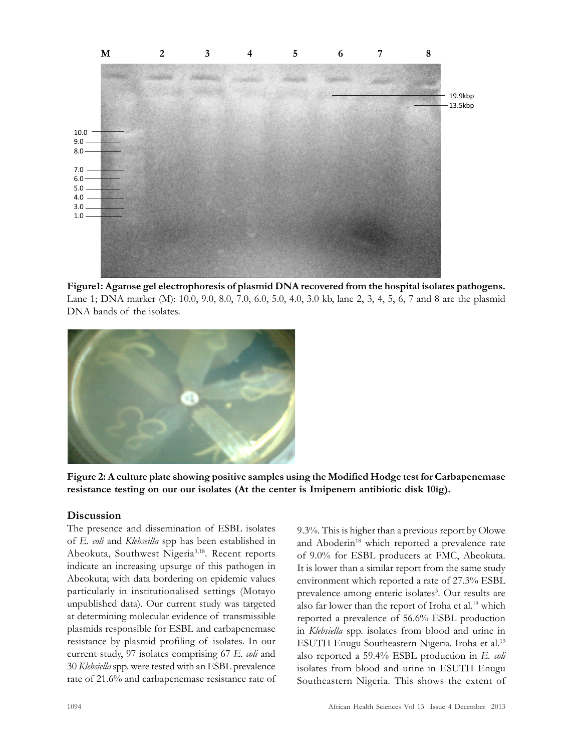

Figure1: Agarose gel electrophoresis of plasmid DNA recovered from the hospital isolates pathogens. Lane 1; DNA marker (M): 10.0, 9.0, 8.0, 7.0, 6.0, 5.0, 4.0, 3.0 kb, lane 2, 3, 4, 5, 6, 7 and 8 are the plasmid DNA bands of the isolates.



Figure 2: A culture plate showing positive samples using the Modified Hodge test for Carbapenemase resistance testing on our our isolates (At the center is Imipenem antibiotic disk 10ìg).

#### **Discussion**

The presence and dissemination of ESBL isolates of E. coli and Klebseilla spp has been established in Abeokuta, Southwest Nigeria<sup>3,18</sup>. Recent reports indicate an increasing upsurge of this pathogen in Abeokuta; with data bordering on epidemic values particularly in institutionalised settings (Motayo unpublished data). Our current study was targeted at determining molecular evidence of transmissible plasmids responsible for ESBL and carbapenemase resistance by plasmid profiling of isolates. In our current study, 97 isolates comprising 67 E. coli and 30 Klebsiella spp. were tested with an ESBL prevalence rate of 21.6% and carbapenemase resistance rate of 9.3%. This is higher than a previous report by Olowe and Aboderin<sup>18</sup> which reported a prevalence rate of 9.0% for ESBL producers at FMC, Abeokuta. It is lower than a similar report from the same study environment which reported a rate of 27.3% ESBL prevalence among enteric isolates<sup>3</sup>. Our results are also far lower than the report of Iroha et al.<sup>19</sup> which reported a prevalence of 56.6% ESBL production in Klebsiella spp. isolates from blood and urine in ESUTH Enugu Southeastern Nigeria. Iroha et al.<sup>19</sup> also reported a 59.4% ESBL production in E. coli isolates from blood and urine in ESUTH Enugu Southeastern Nigeria. This shows the extent of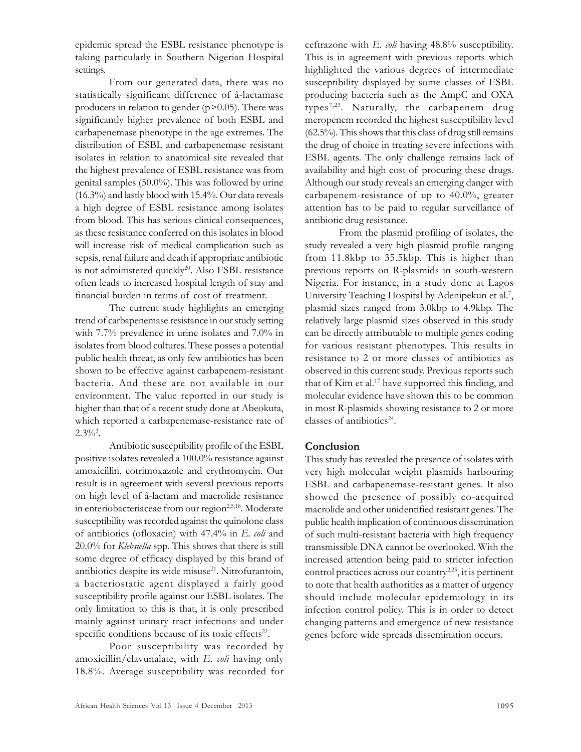epidemic spread the ESBL resistance phenotype is taking particularly in Southern Nigerian Hospital settings.

From our generated data, there was no statistically significant difference of â-lactamase producers in relation to gender  $(p>0.05)$ . There was significantly higher prevalence of both ESBL and carbapenemase phenotype in the age extremes. The distribution of ESBL and carbapenemase resistant isolates in relation to anatomical site revealed that the highest prevalence of ESBL resistance was from genital samples (50.0%). This was followed by urine (16.3%) and lastly blood with 15.4%. Our data reveals a high degree of ESBL resistance among isolates from blood. This has serious clinical consequences, as these resistance conferred on this isolates in blood will increase risk of medical complication such as sepsis, renal failure and death if appropriate antibiotic is not administered quickly<sup>20</sup>. Also ESBL resistance often leads to increased hospital length of stay and financial burden in terms of cost of treatment.

The current study highlights an emerging trend of carbapenemase resistance in our study setting with 7.7% prevalence in urine isolates and 7.0% in isolates from blood cultures. These posses a potential public health threat, as only few antibiotics has been shown to be effective against carbapenem-resistant bacteria. And these are not available in our environment. The value reported in our study is higher than that of a recent study done at Abeokuta, which reported a carbapenemase-resistance rate of  $2.3\%$ <sup>3</sup>.

Antibiotic susceptibility profile of the ESBL positive isolates revealed a 100.0% resistance against amoxicillin, cotrimoxazole and erythromycin. Our result is in agreement with several previous reports on high level of â-lactam and macrolide resistance in enteriobacteriaceae from our region<sup>2,5,18</sup>. Moderate susceptibility was recorded against the quinolone class of antibiotics (ofloxacin) with  $47.4\%$  in E. *coli* and 20.0% for Klebsiella spp. This shows that there is still some degree of efficacy displayed by this brand of antibiotics despite its wide misuse $2<sup>1</sup>$ . Nitrofurantoin, a bacteriostatic agent displayed a fairly good susceptibility profile against our ESBL isolates. The only limitation to this is that, it is only prescribed mainly against urinary tract infections and under specific conditions because of its toxic effects<sup>22</sup>.

Poor susceptibility was recorded by amoxicillin/clavunalate, with  $E$ .  $\omega l$  having only 18.8%. Average susceptibility was recorded for ceftrazone with  $E$ . *coli* having  $48.8\%$  susceptibility. This is in agreement with previous reports which highlighted the various degrees of intermediate susceptibility displayed by some classes of ESBL producing bacteria such as the AmpC and OXA types7,23 . Naturally, the carbapenem drug meropenem recorded the highest susceptibility level (62.5%). This shows that this class of drug still remains the drug of choice in treating severe infections with ESBL agents. The only challenge remains lack of availability and high cost of procuring these drugs. Although our study reveals an emerging danger with carbapenem-resistance of up to 40.0%, greater attention has to be paid to regular surveillance of antibiotic drug resistance.

From the plasmid profiling of isolates, the study revealed a very high plasmid profile ranging from 11.8kbp to 35.5kbp. This is higher than previous reports on R-plasmids in south-western Nigeria. For instance, in a study done at Lagos University Teaching Hospital by Adenipekun et al.<sup>7</sup>, plasmid sizes ranged from 3.0kbp to 4.9kbp. The relatively large plasmid sizes observed in this study can be directly attributable to multiple genes coding for various resistant phenotypes. This results in resistance to 2 or more classes of antibiotics as observed in this current study. Previous reports such that of Kim et al.<sup>17</sup> have supported this finding, and molecular evidence have shown this to be common in most R-plasmids showing resistance to 2 or more classes of antibiotics<sup>24</sup>.

## Conclusion

This study has revealed the presence of isolates with very high molecular weight plasmids harbouring ESBL and carbapenemase-resistant genes. It also showed the presence of possibly co-acquired macrolide and other unidentified resistant genes. The public health implication of continuous dissemination of such multi-resistant bacteria with high frequency transmissible DNA cannot be overlooked. With the increased attention being paid to stricter infection control practices across our country<sup>2,25</sup>, it is pertinent to note that health authorities as a matter of urgency should include molecular epidemiology in its infection control policy. This is in order to detect changing patterns and emergence of new resistance genes before wide spreads dissemination occurs.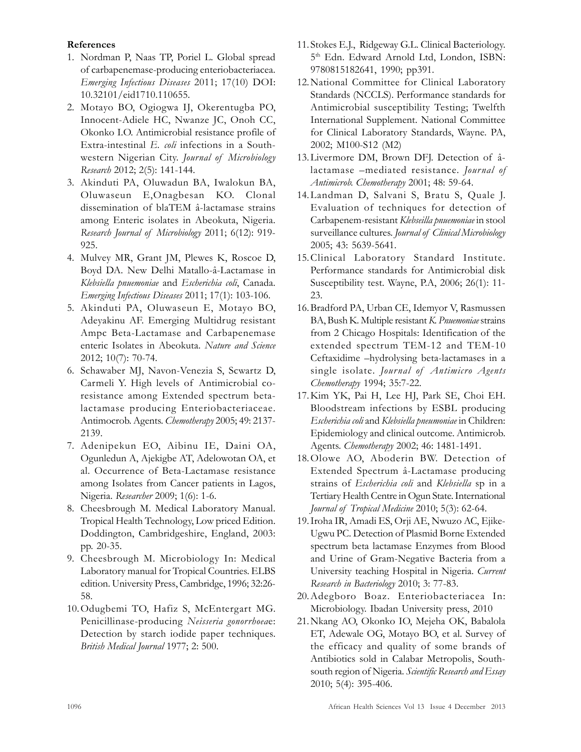#### References

- 1. Nordman P, Naas TP, Poriel L. Global spread of carbapenemase-producing enteriobacteriacea. Emerging Infectious Diseases 2011; 17(10) DOI: 10.32101/eid1710.110655.
- 2. Motayo BO, Ogiogwa IJ, Okerentugba PO, Innocent-Adiele HC, Nwanze JC, Onoh CC, Okonko I.O. Antimicrobial resistance profile of Extra-intestinal E. coli infections in a Southwestern Nigerian City. Journal of Microbiology Research 2012; 2(5): 141-144.
- 3. Akinduti PA, Oluwadun BA, Iwalokun BA, Oluwaseun E,Onagbesan KO. Clonal dissemination of blaTEM â-lactamase strains among Enteric isolates in Abeokuta, Nigeria. Research Journal of Microbiology 2011; 6(12): 919- 925.
- 4. Mulvey MR, Grant JM, Plewes K, Roscoe D, Boyd DA. New Delhi Matallo-â-Lactamase in Klebsiella pnuemoniae and Escherichia coli, Canada. Emerging Infectious Diseases 2011; 17(1): 103-106.
- 5. Akinduti PA, Oluwaseun E, Motayo BO, Adeyakinu AF. Emerging Multidrug resistant Ampc Beta-Lactamase and Carbapenemase enteric Isolates in Abeokuta. Nature and Science 2012; 10(7): 70-74.
- 6. Schawaber MJ, Navon-Venezia S, Scwartz D, Carmeli Y. High levels of Antimicrobial coresistance among Extended spectrum betalactamase producing Enteriobacteriaceae. Antimocrob. Agents. Chemotherapy 2005; 49: 2137- 2139.
- 7. Adenipekun EO, Aibinu IE, Daini OA, Ogunledun A, Ajekigbe AT, Adelowotan OA, et al. Occurrence of Beta-Lactamase resistance among Isolates from Cancer patients in Lagos, Nigeria. Researcher 2009; 1(6): 1-6.
- 8. Cheesbrough M. Medical Laboratory Manual. Tropical Health Technology, Low priced Edition. Doddington, Cambridgeshire, England, 2003: pp. 20-35.
- 9. Cheesbrough M. Microbiology In: Medical Laboratory manual for Tropical Countries. ELBS edition. University Press, Cambridge, 1996; 32:26- 58.
- 10.Odugbemi TO, Hafiz S, McEntergart MG. Penicillinase-producing Neisseria gonorrhoeae: Detection by starch iodide paper techniques. British Medical Journal 1977; 2: 500.
- 11. Stokes E.J., Ridgeway G.L. Clinical Bacteriology. 5 th Edn. Edward Arnold Ltd, London, ISBN: 9780815182641, 1990; pp391.
- 12.National Committee for Clinical Laboratory Standards (NCCLS). Performance standards for Antimicrobial susceptibility Testing; Twelfth International Supplement. National Committee for Clinical Laboratory Standards, Wayne. PA, 2002; M100-S12 (M2)
- 13.Livermore DM, Brown DFJ. Detection of âlactamase –mediated resistance. Journal of Antimicrob. Chemotherapy 2001; 48: 59-64.
- 14.Landman D, Salvani S, Bratu S, Quale J. Evaluation of techniques for detection of Carbapenem-resistant Klebseilla pnuemoniae in stool surveillance cultures. Journal of Clinical Microbiology 2005; 43: 5639-5641.
- 15.Clinical Laboratory Standard Institute. Performance standards for Antimicrobial disk Susceptibility test. Wayne, P.A, 2006; 26(1): 11- 23.
- 16.Bradford PA, Urban CE, Idemyor V, Rasmussen BA, Bush K. Multiple resistant K. Pnuemoniae strains from 2 Chicago Hospitals: Identification of the extended spectrum TEM-12 and TEM-10 Ceftaxidime –hydrolysing beta-lactamases in a single isolate. Journal of Antimicro Agents Chemotherapy 1994; 35:7-22.
- 17.Kim YK, Pai H, Lee HJ, Park SE, Choi EH. Bloodstream infections by ESBL producing Escherichia coli and Klebsiella pneumoniae in Children: Epidemiology and clinical outcome. Antimicrob. Agents. Chemotherapy 2002; 46: 1481-1491.
- 18.Olowe AO, Aboderin BW. Detection of Extended Spectrum â-Lactamase producing strains of *Escherichia coli* and *Klebsiella* sp in a Tertiary Health Centre in Ogun State. International Journal of Tropical Medicine 2010; 5(3): 62-64.
- 19.Iroha IR, Amadi ES, Orji AE, Nwuzo AC, Ejike-Ugwu PC. Detection of Plasmid Borne Extended spectrum beta lactamase Enzymes from Blood and Urine of Gram-Negative Bacteria from a University teaching Hospital in Nigeria. Current Research in Bacteriology 2010; 3: 77-83.
- 20.Adegboro Boaz. Enteriobacteriacea In: Microbiology. Ibadan University press, 2010
- 21.Nkang AO, Okonko IO, Mejeha OK, Babalola ET, Adewale OG, Motayo BO, et al. Survey of the efficacy and quality of some brands of Antibiotics sold in Calabar Metropolis, Southsouth region of Nigeria. Scientific Research and Essay 2010; 5(4): 395-406.